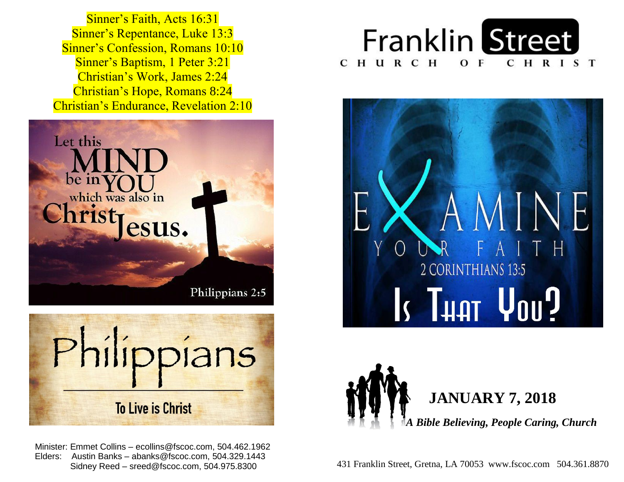Sinner's Confession, Romans 10:10  Sinner's Baptism, 1 Peter 3:21  Christian's Work, James 2:24  Christian's Hope, Romans 8:24  Christian's Endurance, Revelation 2:10 Sinner's Faith, Acts 16:31 Sinner's Repentance, Luke 13:3





 Minister: Emmet Collins – ecollins@fscoc.com, 504.462.1962  Elders: Austin Banks – abanks@fscoc.com, 504.329.1443 Sidney Reed – sreed@fscoc.com, 504.975.8300







431 Franklin Street, Gretna, LA 70053 www.fscoc.com 504.361.8870